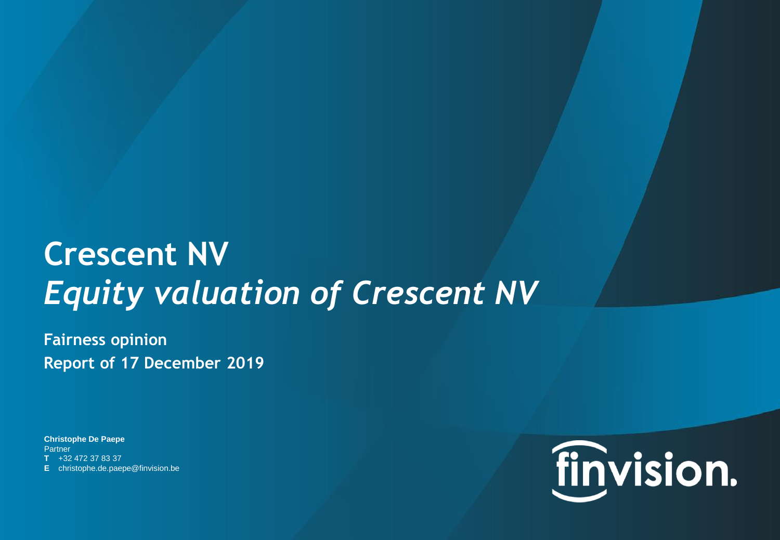# **Crescent NV** *Equity valuation of Crescent NV*

**Fairness opinion Report of 17 December 2019**

**Christophe De Paepe Partner T** +32 472 37 83 37 **E** christophe.de.paepe@finvision.be

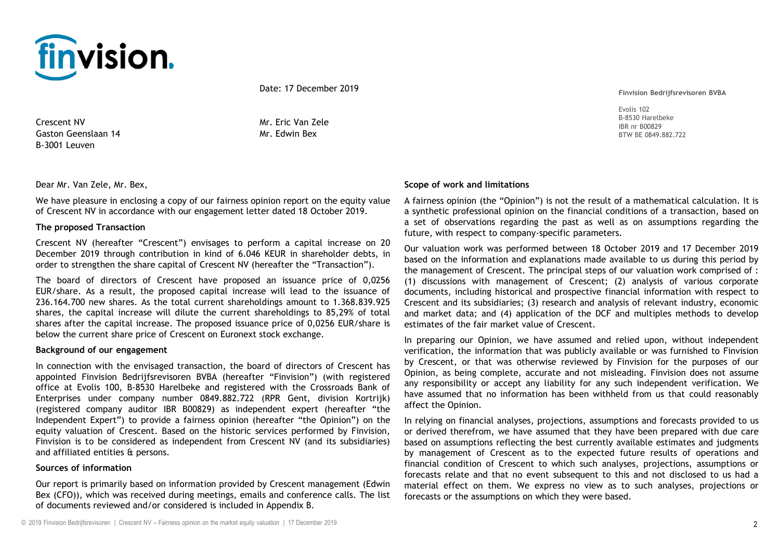

Date: 17 December 2019

Crescent NV Gaston Geenslaan 14 B-3001 Leuven

Mr. Eric Van Zele Mr. Edwin Bex

Dear Mr. Van Zele, Mr. Bex,

We have pleasure in enclosing a copy of our fairness opinion report on the equity value of Crescent NV in accordance with our engagement letter dated 18 October 2019.

#### **The proposed Transaction**

Crescent NV (hereafter "Crescent") envisages to perform a capital increase on 20 December 2019 through contribution in kind of 6.046 KEUR in shareholder debts, in order to strengthen the share capital of Crescent NV (hereafter the "Transaction").

The board of directors of Crescent have proposed an issuance price of 0,0256 EUR/share. As a result, the proposed capital increase will lead to the issuance of 236.164.700 new shares. As the total current shareholdings amount to 1.368.839.925 shares, the capital increase will dilute the current shareholdings to 85,29% of total shares after the capital increase. The proposed issuance price of 0,0256 EUR/share is below the current share price of Crescent on Euronext stock exchange.

#### **Background of our engagement**

In connection with the envisaged transaction, the board of directors of Crescent has appointed Finvision Bedrijfsrevisoren BVBA (hereafter "Finvision") (with registered office at Evolis 100, B-8530 Harelbeke and registered with the Crossroads Bank of Enterprises under company number 0849.882.722 (RPR Gent, division Kortrijk) (registered company auditor IBR B00829) as independent expert (hereafter "the Independent Expert") to provide a fairness opinion (hereafter "the Opinion") on the equity valuation of Crescent. Based on the historic services performed by Finvision, Finvision is to be considered as independent from Crescent NV (and its subsidiaries) and affiliated entities & persons.

#### **Sources of information**

Our report is primarily based on information provided by Crescent management (Edwin Bex (CFO)), which was received during meetings, emails and conference calls. The list of documents reviewed and/or considered is included in Appendix B.

**Finvision Bedrijfsrevisoren BVBA**

Evolis 102 B-8530 Harelbeke IBR nr B00829 BTW BE 0849.882.722

#### **Scope of work and limitations**

A fairness opinion (the "Opinion") is not the result of a mathematical calculation. It is a synthetic professional opinion on the financial conditions of a transaction, based on a set of observations regarding the past as well as on assumptions regarding the future, with respect to company-specific parameters.

Our valuation work was performed between 18 October 2019 and 17 December 2019 based on the information and explanations made available to us during this period by the management of Crescent. The principal steps of our valuation work comprised of : (1) discussions with management of Crescent; (2) analysis of various corporate documents, including historical and prospective financial information with respect to Crescent and its subsidiaries; (3) research and analysis of relevant industry, economic and market data; and (4) application of the DCF and multiples methods to develop estimates of the fair market value of Crescent.

In preparing our Opinion, we have assumed and relied upon, without independent verification, the information that was publicly available or was furnished to Finvision by Crescent, or that was otherwise reviewed by Finvision for the purposes of our Opinion, as being complete, accurate and not misleading. Finvision does not assume any responsibility or accept any liability for any such independent verification. We have assumed that no information has been withheld from us that could reasonably affect the Opinion.

In relying on financial analyses, projections, assumptions and forecasts provided to us or derived therefrom, we have assumed that they have been prepared with due care based on assumptions reflecting the best currently available estimates and judgments by management of Crescent as to the expected future results of operations and financial condition of Crescent to which such analyses, projections, assumptions or forecasts relate and that no event subsequent to this and not disclosed to us had a material effect on them. We express no view as to such analyses, projections or forecasts or the assumptions on which they were based.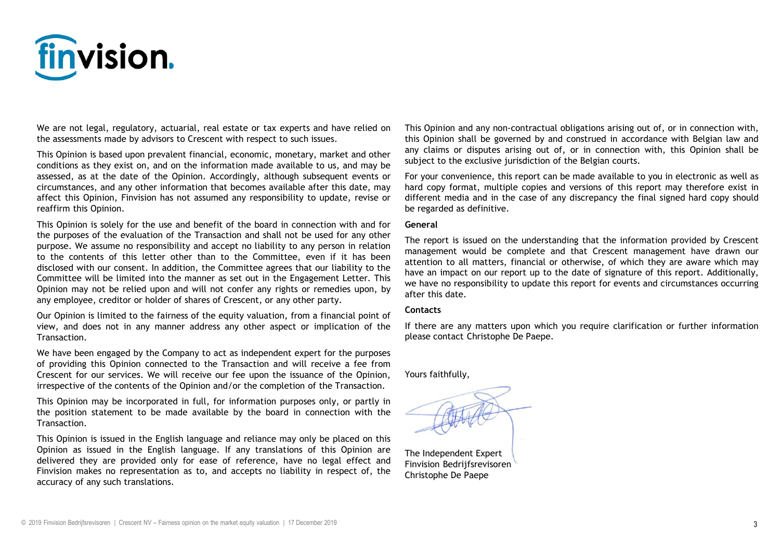

We are not legal, regulatory, actuarial, real estate or tax experts and have relied on the assessments made by advisors to Crescent with respect to such issues.

This Opinion is based upon prevalent financial, economic, monetary, market and other conditions as they exist on, and on the information made available to us, and may be assessed, as at the date of the Opinion. Accordingly, although subsequent events or circumstances, and any other information that becomes available after this date, may affect this Opinion, Finvision has not assumed any responsibility to update, revise or reaffirm this Opinion.

This Opinion is solely for the use and benefit of the board in connection with and for the purposes of the evaluation of the Transaction and shall not be used for any other purpose. We assume no responsibility and accept no liability to any person in relation to the contents of this letter other than to the Committee, even if it has been disclosed with our consent. In addition, the Committee agrees that our liability to the Committee will be limited into the manner as set out in the Engagement Letter. This Opinion may not be relied upon and will not confer any rights or remedies upon, by any employee, creditor or holder of shares of Crescent, or any other party.

Our Opinion is limited to the fairness of the equity valuation, from a financial point of view, and does not in any manner address any other aspect or implication of the Transaction.

We have been engaged by the Company to act as independent expert for the purposes of providing this Opinion connected to the Transaction and will receive a fee from Crescent for our services. We will receive our fee upon the issuance of the Opinion, irrespective of the contents of the Opinion and/or the completion of the Transaction.

This Opinion may be incorporated in full, for information purposes only, or partly in the position statement to be made available by the board in connection with the Transaction.

This Opinion is issued in the English language and reliance may only be placed on this Opinion as issued in the English language. If any translations of this Opinion are delivered they are provided only for ease of reference, have no legal effect and Finvision makes no representation as to, and accepts no liability in respect of, the accuracy of any such translations.

This Opinion and any non-contractual obligations arising out of, or in connection with, this Opinion shall be governed by and construed in accordance with Belgian law and any claims or disputes arising out of, or in connection with, this Opinion shall be subject to the exclusive jurisdiction of the Belgian courts.

For your convenience, this report can be made available to you in electronic as well as hard copy format, multiple copies and versions of this report may therefore exist in different media and in the case of any discrepancy the final signed hard copy should be regarded as definitive.

#### **General**

The report is issued on the understanding that the information provided by Crescent management would be complete and that Crescent management have drawn our attention to all matters, financial or otherwise, of which they are aware which may have an impact on our report up to the date of signature of this report. Additionally, we have no responsibility to update this report for events and circumstances occurring after this date.

#### **Contacts**

If there are any matters upon which you require clarification or further information please contact Christophe De Paepe.

Yours faithfully,

The Independent Expert Finvision Bedrijfsrevisoren Christophe De Paepe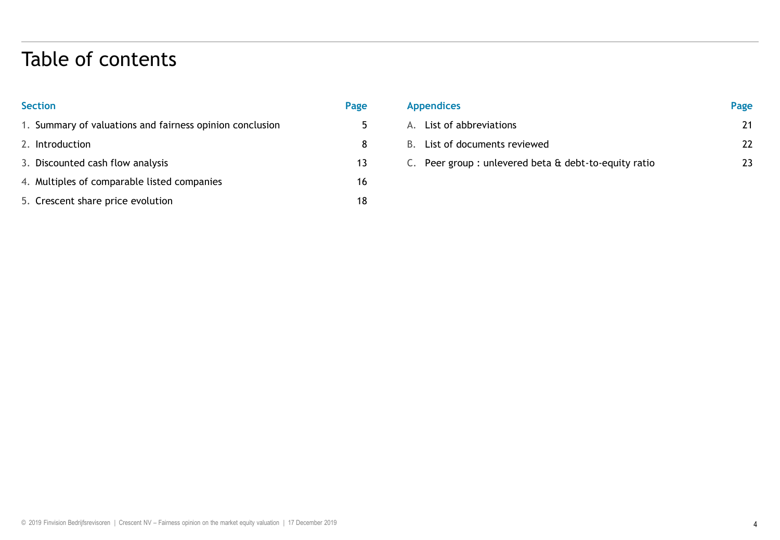### Table of contents

| <b>Section</b>                                           | Page |
|----------------------------------------------------------|------|
| 1. Summary of valuations and fairness opinion conclusion | 5    |
| 2. Introduction                                          | 8    |
| 3. Discounted cash flow analysis                         | 13   |
| 4. Multiples of comparable listed companies              | 16   |
| 5. Crescent share price evolution                        | 18   |

| <b>Appendices</b>                                    | Page |
|------------------------------------------------------|------|
| A. List of abbreviations                             | 21   |
| B. List of documents reviewed                        | 22   |
| C. Peer group: unlevered beta & debt-to-equity ratio | 73   |
|                                                      |      |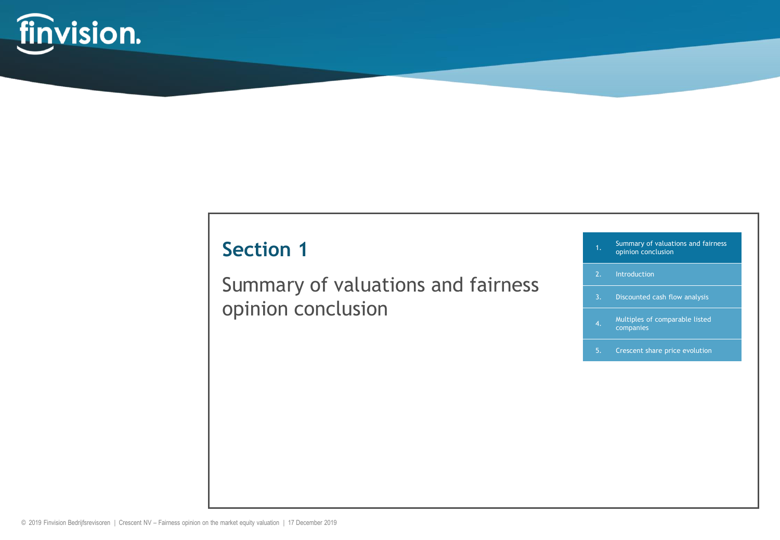

Summary of valuations and fairness opinion conclusion

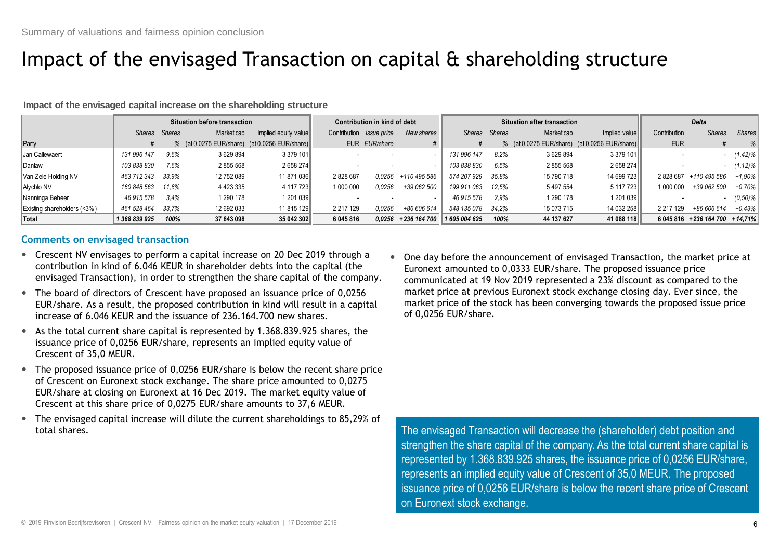# Impact of the envisaged Transaction on capital & shareholding structure

**Impact of the envisaged capital increase on the shareholding structure**

|                             |               | Situation before transaction |               |                                               | Contribution in kind of debt |                                 |                               | Situation after transaction |               |            |                                               | <b>Delta</b> |                                  |             |
|-----------------------------|---------------|------------------------------|---------------|-----------------------------------------------|------------------------------|---------------------------------|-------------------------------|-----------------------------|---------------|------------|-----------------------------------------------|--------------|----------------------------------|-------------|
|                             | Shares Shares |                              | Market cap    | Implied equity value                          |                              | Contribution <i>Issue price</i> | New shares II                 |                             | Shares Shares | Market cap | Implied value                                 | Contribution | <b>Shares</b>                    | Shares      |
| Party                       |               |                              |               | % (at 0,0275 EUR/share) (at 0,0256 EUR/share) |                              | EUR EUR/share                   |                               |                             |               |            | % (at 0,0275 EUR/share) (at 0,0256 EUR/share) | <b>EUR</b>   |                                  | $\%$        |
| Jan Callewaert              | 131 996 147   | 9.6%                         | 3 629 894     | 3 379 101                                     |                              |                                 |                               | 131 996 147                 | 8.2%          | 3 629 894  | 3 379 101                                     |              |                                  | $(1, 42)$ % |
| Danlaw                      | 103 838 830   | 7.6%                         | 2855568       | 2658274                                       |                              |                                 |                               | 103 838 830                 | 6.5%          | 2855568    | 2 658 274                                     |              |                                  | $(1, 12)\%$ |
| Van Zele Holding NV         | 463 712 343   | 33.9%                        | 12 752 089    | 11 871 036                                    | 2828687                      | 0.0256                          | +110 495 586                  | 574 207 929                 | 35.8%         | 15 790 718 | 14 699 723                                    |              | 2828687 +110495586               | $+1,90\%$   |
| Alychlo NV                  | 160 848 563   | 11.8%                        | 4 4 2 3 3 3 5 | 4 117 723                                     | 1 000 000                    | 0.0256                          | +39 062 500                   | 199 911 063                 | 12.5%         | 5 497 554  | 5 117 723                                     | 1 000 000    | +39 062 500                      | $+0.70\%$   |
| Nanninga Beheer             | 46 915 578    | 3.4%                         | 1 290 178     | 1 201 039∥                                    |                              |                                 |                               | 46 915 578                  | 2.9%          | 1 290 178  | 1 201 039                                     |              |                                  | (0,50%      |
| Existing shareholders (<3%) | 461 528 464   | 33.7%                        | 12 692 033    | 11 815 129                                    | 2 217 129                    | 0.0256                          | +86 606 614                   | 548 135 078                 | 34.2%         | 15 073 715 | 14 032 258                                    | 2 217 129    | +86 606 614                      | $+0.43%$    |
| Total                       | 1 368 839 925 | 100%                         | 37 643 098    | 35 042 302                                    | 6 045 816                    | 0.0256                          | +236 164 700    1 605 004 625 |                             | 100%          | 44 137 627 | 41 088 118                                    |              | 6 045 816 + 236 164 700 + 14.71% |             |

### **Comments on envisaged transaction**

- Crescent NV envisages to perform a capital increase on 20 Dec 2019 through a contribution in kind of 6.046 KEUR in shareholder debts into the capital (the envisaged Transaction), in order to strengthen the share capital of the company.
- The board of directors of Crescent have proposed an issuance price of 0,0256 EUR/share. As a result, the proposed contribution in kind will result in a capital increase of 6.046 KEUR and the issuance of 236.164.700 new shares.
- As the total current share capital is represented by 1.368.839.925 shares, the issuance price of 0,0256 EUR/share, represents an implied equity value of Crescent of 35,0 MEUR.
- The proposed issuance price of 0,0256 EUR/share is below the recent share price of Crescent on Euronext stock exchange. The share price amounted to 0,0275 EUR/share at closing on Euronext at 16 Dec 2019. The market equity value of Crescent at this share price of 0,0275 EUR/share amounts to 37,6 MEUR.
- The envisaged capital increase will dilute the current shareholdings to 85,29% of total shares.

 One day before the announcement of envisaged Transaction, the market price at Euronext amounted to 0,0333 EUR/share. The proposed issuance price communicated at 19 Nov 2019 represented a 23% discount as compared to the market price at previous Euronext stock exchange closing day. Ever since, the market price of the stock has been converging towards the proposed issue price of 0,0256 EUR/share.

The envisaged Transaction will decrease the (shareholder) debt position and strengthen the share capital of the company. As the total current share capital is represented by 1.368.839.925 shares, the issuance price of 0,0256 EUR/share, represents an implied equity value of Crescent of 35,0 MEUR. The proposed issuance price of 0,0256 EUR/share is below the recent share price of Crescent on Euronext stock exchange.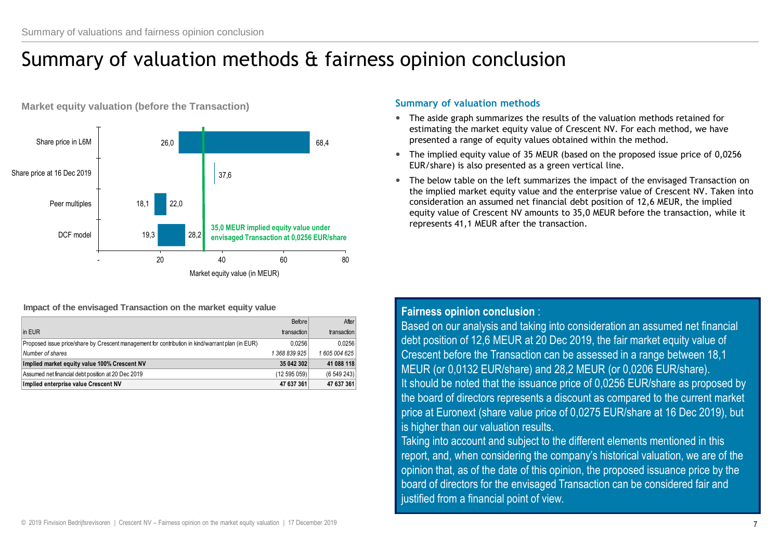# Summary of valuation methods & fairness opinion conclusion



**Market equity valuation (before the Transaction)** 

#### **Impact of the envisaged Transaction on the market equity value**

|                                                                                                   | Before      | After         |
|---------------------------------------------------------------------------------------------------|-------------|---------------|
| in EUR                                                                                            | transaction | transaction   |
| (Proposed issue price/share by Crescent management for contribution in kind/warrant plan (in EUR) | 0.0256      | 0.0256        |
| Number of shares                                                                                  | 1368839925  | 1 605 004 625 |
| Implied market equity value 100% Crescent NV                                                      | 35 042 302  | 41 088 118    |
| Assumed net financial debt position at 20 Dec 2019                                                | (12595059)  | (6549243)     |
| Implied enterprise value Crescent NV                                                              | 47 637 361  | 47 637 361    |

### **Summary of valuation methods**

- The aside graph summarizes the results of the valuation methods retained for estimating the market equity value of Crescent NV. For each method, we have presented a range of equity values obtained within the method.
- The implied equity value of 35 MEUR (based on the proposed issue price of 0,0256 EUR/share) is also presented as a green vertical line.
- The below table on the left summarizes the impact of the envisaged Transaction on the implied market equity value and the enterprise value of Crescent NV. Taken into consideration an assumed net financial debt position of 12,6 MEUR, the implied equity value of Crescent NV amounts to 35,0 MEUR before the transaction, while it represents 41,1 MEUR after the transaction.

### **Fairness opinion conclusion** :

Based on our analysis and taking into consideration an assumed net financial debt position of 12,6 MEUR at 20 Dec 2019, the fair market equity value of Crescent before the Transaction can be assessed in a range between 18,1 MEUR (or 0,0132 EUR/share) and 28,2 MEUR (or 0,0206 EUR/share). It should be noted that the issuance price of 0,0256 EUR/share as proposed by the board of directors represents a discount as compared to the current market price at Euronext (share value price of 0,0275 EUR/share at 16 Dec 2019), but is higher than our valuation results.

Taking into account and subject to the different elements mentioned in this report, and, when considering the company's historical valuation, we are of the opinion that, as of the date of this opinion, the proposed issuance price by the board of directors for the envisaged Transaction can be considered fair and justified from a financial point of view.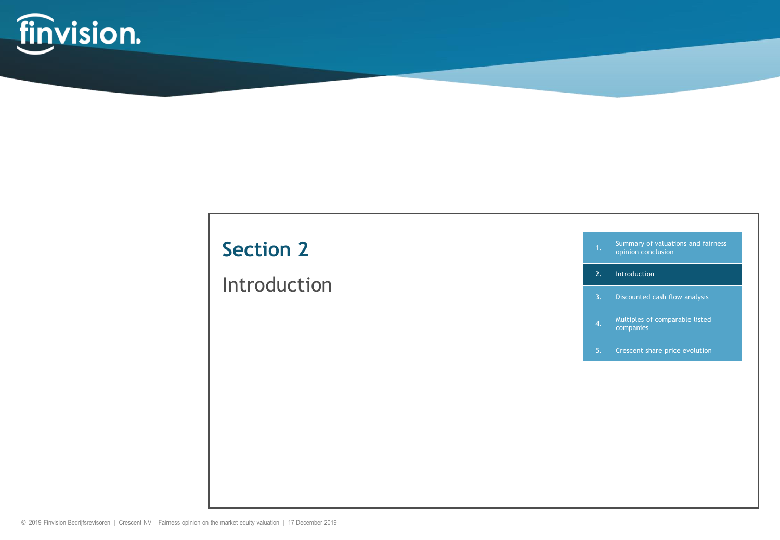

### Introduction

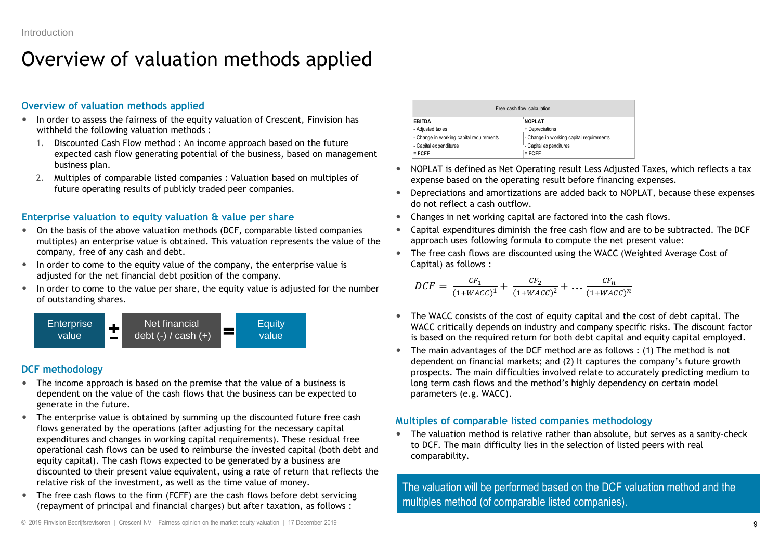### Overview of valuation methods applied

### **Overview of valuation methods applied**

- In order to assess the fairness of the equity valuation of Crescent, Finvision has withheld the following valuation methods :
	- 1. Discounted Cash Flow method : An income approach based on the future expected cash flow generating potential of the business, based on management business plan.
	- 2. Multiples of comparable listed companies : Valuation based on multiples of future operating results of publicly traded peer companies.

### **Enterprise valuation to equity valuation & value per share**

- On the basis of the above valuation methods (DCF, comparable listed companies multiples) an enterprise value is obtained. This valuation represents the value of the company, free of any cash and debt.
- In order to come to the equity value of the company, the enterprise value is adjusted for the net financial debt position of the company.
- In order to come to the value per share, the equity value is adjusted for the number of outstanding shares.



### **DCF methodology**

- The income approach is based on the premise that the value of a business is dependent on the value of the cash flows that the business can be expected to generate in the future.
- The enterprise value is obtained by summing up the discounted future free cash flows generated by the operations (after adjusting for the necessary capital expenditures and changes in working capital requirements). These residual free operational cash flows can be used to reimburse the invested capital (both debt and equity capital). The cash flows expected to be generated by a business are discounted to their present value equivalent, using a rate of return that reflects the relative risk of the investment, as well as the time value of money.
- The free cash flows to the firm (FCFF) are the cash flows before debt servicing (repayment of principal and financial charges) but after taxation, as follows :

| Free cash flow calculation                |                                          |  |  |  |  |  |
|-------------------------------------------|------------------------------------------|--|--|--|--|--|
| EBITDA                                    | <b>NOPLAT</b>                            |  |  |  |  |  |
| - Adjusted taxes                          | + Depreciations                          |  |  |  |  |  |
| - Change in w orking capital requirements | - Change in working capital requirements |  |  |  |  |  |
| - Capital expenditures                    | - Capital expenditures                   |  |  |  |  |  |
| $=$ FCFF                                  | $=$ FCFF                                 |  |  |  |  |  |

- NOPLAT is defined as Net Operating result Less Adjusted Taxes, which reflects a tax expense based on the operating result before financing expenses.
- Depreciations and amortizations are added back to NOPLAT, because these expenses do not reflect a cash outflow.
- Changes in net working capital are factored into the cash flows.
- Capital expenditures diminish the free cash flow and are to be subtracted. The DCF approach uses following formula to compute the net present value:
- The free cash flows are discounted using the WACC (Weighted Average Cost of Capital) as follows :

$$
DCF = \frac{CF_1}{(1 + WACC)^1} + \frac{CF_2}{(1 + WACC)^2} + \dots \frac{CF_n}{(1 + WACC)^n}
$$

- The WACC consists of the cost of equity capital and the cost of debt capital. The WACC critically depends on industry and company specific risks. The discount factor is based on the required return for both debt capital and equity capital employed.
- The main advantages of the DCF method are as follows : (1) The method is not dependent on financial markets; and (2) It captures the company's future growth prospects. The main difficulties involved relate to accurately predicting medium to long term cash flows and the method's highly dependency on certain model parameters (e.g. WACC).

### **Multiples of comparable listed companies methodology**

 The valuation method is relative rather than absolute, but serves as a sanity-check to DCF. The main difficulty lies in the selection of listed peers with real comparability.

The valuation will be performed based on the DCF valuation method and the multiples method (of comparable listed companies).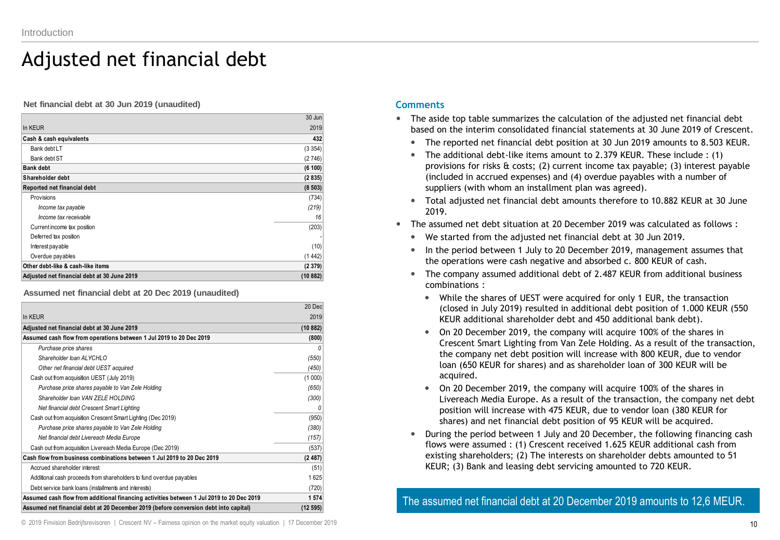### Adjusted net financial debt

**Net financial debt at 30 Jun 2019 (unaudited)**

| Adjusted net financial debt at 30 June 2019 | (10882) |
|---------------------------------------------|---------|
| Other debt-like & cash-like items           | (2379)  |
| Overdue payables                            | (1442)  |
| Interest payable                            | (10)    |
| Deferred tax position                       |         |
| Current income tax position                 | (203)   |
| Income tax receivable                       | 16      |
| Income tax payable                          | (219)   |
| Provisions                                  | (734)   |
| Reported net financial debt                 | (8503)  |
| Shareholder debt                            | (2835)  |
| <b>Bank debt</b>                            | (6 100) |
| Bank debt ST                                | (2746)  |
| Bank debt LT                                | (3354)  |
| Cash & cash equivalents                     | 432     |
| In KEUR                                     | 2019    |
|                                             | 30 Jun  |

**Assumed net financial debt at 20 Dec 2019 (unaudited)**

|                                                                                          | 20 Dec  |
|------------------------------------------------------------------------------------------|---------|
| In KEUR                                                                                  | 2019    |
| Adjusted net financial debt at 30 June 2019                                              | (10882) |
| Assumed cash flow from operations between 1 Jul 2019 to 20 Dec 2019                      | (800)   |
| Purchase price shares                                                                    |         |
| Shareholder Ioan AI YCHI O                                                               | (550)   |
| Other net financial debt UEST acquired                                                   | (450)   |
| Cash out from acquisition UEST (July 2019)                                               | (1000)  |
| Purchase price shares payable to Van Zele Holding                                        | (650)   |
| Shareholder Ioan VAN ZELE HOLDING                                                        | (300)   |
| Net financial debt Crescent Smart Lighting                                               |         |
| Cash out from acquisition Crescent Smart Lighting (Dec 2019)                             | (950)   |
| Purchase price shares payable to Van Zele Holding                                        | (380)   |
| Net financial debt Livereach Media Europe                                                | (157)   |
| Cash out from acquisition Livereach Media Europe (Dec 2019)                              | (537)   |
| Cash flow from business combinations between 1 Jul 2019 to 20 Dec 2019                   | (2487)  |
| Accrued shareholder interest                                                             | (51)    |
| Additional cash proceeds from shareholders to fund overdue payables                      | 1625    |
| Debt service bank loans (installments and interests)                                     | (720)   |
| Assumed cash flow from additional financing activities between 1 Jul 2019 to 20 Dec 2019 | 1574    |
| Assumed net financial debt at 20 December 2019 (before conversion debt into capital)     | (12595) |

#### **Comments**

- The aside top table summarizes the calculation of the adjusted net financial debt based on the interim consolidated financial statements at 30 June 2019 of Crescent.
	- The reported net financial debt position at 30 Jun 2019 amounts to 8.503 KEUR.
	- The additional debt-like items amount to 2.379 KEUR. These include : (1) provisions for risks  $\&$  costs; (2) current income tax payable; (3) interest payable (included in accrued expenses) and (4) overdue payables with a number of suppliers (with whom an installment plan was agreed).
	- Total adjusted net financial debt amounts therefore to 10.882 KEUR at 30 June 2019.
- The assumed net debt situation at 20 December 2019 was calculated as follows :
	- We started from the adjusted net financial debt at 30 Jun 2019.
	- In the period between 1 July to 20 December 2019, management assumes that the operations were cash negative and absorbed c. 800 KEUR of cash.
	- The company assumed additional debt of 2.487 KEUR from additional business combinations :
		- While the shares of UEST were acquired for only 1 EUR, the transaction (closed in July 2019) resulted in additional debt position of 1.000 KEUR (550 KEUR additional shareholder debt and 450 additional bank debt).
		- On 20 December 2019, the company will acquire 100% of the shares in Crescent Smart Lighting from Van Zele Holding. As a result of the transaction, the company net debt position will increase with 800 KEUR, due to vendor loan (650 KEUR for shares) and as shareholder loan of 300 KEUR will be acquired.
		- On 20 December 2019, the company will acquire 100% of the shares in Livereach Media Europe. As a result of the transaction, the company net debt position will increase with 475 KEUR, due to vendor loan (380 KEUR for shares) and net financial debt position of 95 KEUR will be acquired.
	- During the period between 1 July and 20 December, the following financing cash flows were assumed : (1) Crescent received 1.625 KEUR additional cash from existing shareholders; (2) The interests on shareholder debts amounted to 51 KEUR; (3) Bank and leasing debt servicing amounted to 720 KEUR.

The assumed net financial debt at 20 December 2019 amounts to 12,6 MEUR.

© 2019 Finvision Bedrijfsrevisoren | Crescent NV – Fairness opinion on the market equity valuation | 17 December 2019 10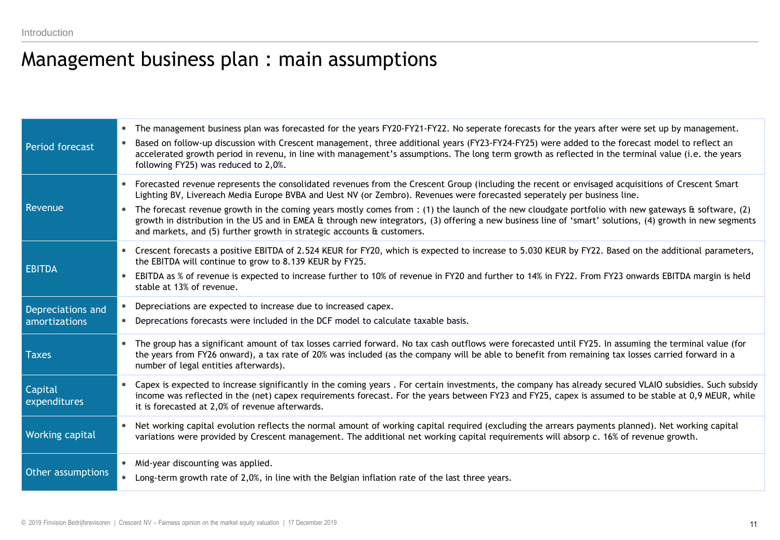### Management business plan : main assumptions

| Period forecast                    | • The management business plan was forecasted for the years FY20-FY21-FY22. No seperate forecasts for the years after were set up by management.<br>Based on follow-up discussion with Crescent management, three additional years (FY23-FY24-FY25) were added to the forecast model to reflect an<br>$\bullet$<br>accelerated growth period in revenu, in line with management's assumptions. The long term growth as reflected in the terminal value (i.e. the years<br>following FY25) was reduced to 2,0%.                                                                                                                                                                             |
|------------------------------------|--------------------------------------------------------------------------------------------------------------------------------------------------------------------------------------------------------------------------------------------------------------------------------------------------------------------------------------------------------------------------------------------------------------------------------------------------------------------------------------------------------------------------------------------------------------------------------------------------------------------------------------------------------------------------------------------|
| Revenue                            | Forecasted revenue represents the consolidated revenues from the Crescent Group (including the recent or envisaged acquisitions of Crescent Smart<br>Lighting BV, Livereach Media Europe BVBA and Uest NV (or Zembro). Revenues were forecasted seperately per business line.<br>The forecast revenue growth in the coming years mostly comes from : (1) the launch of the new cloudgate portfolio with new gateways $\hat{a}$ software, (2)<br>growth in distribution in the US and in EMEA & through new integrators, (3) offering a new business line of 'smart' solutions, (4) growth in new segments<br>and markets, and (5) further growth in strategic accounts $\theta$ customers. |
| <b>EBITDA</b>                      | • Crescent forecasts a positive EBITDA of 2.524 KEUR for FY20, which is expected to increase to 5.030 KEUR by FY22. Based on the additional parameters,<br>the EBITDA will continue to grow to 8.139 KEUR by FY25.<br>EBITDA as % of revenue is expected to increase further to 10% of revenue in FY20 and further to 14% in FY22. From FY23 onwards EBITDA margin is held<br>stable at 13% of revenue.                                                                                                                                                                                                                                                                                    |
| Depreciations and<br>amortizations | Depreciations are expected to increase due to increased capex.<br>$\bullet$<br>• Deprecations forecasts were included in the DCF model to calculate taxable basis.                                                                                                                                                                                                                                                                                                                                                                                                                                                                                                                         |
| <b>Taxes</b>                       | The group has a significant amount of tax losses carried forward. No tax cash outflows were forecasted until FY25. In assuming the terminal value (for<br>the years from FY26 onward), a tax rate of 20% was included (as the company will be able to benefit from remaining tax losses carried forward in a<br>number of legal entities afterwards).                                                                                                                                                                                                                                                                                                                                      |
| Capital<br>expenditures            | Capex is expected to increase significantly in the coming years . For certain investments, the company has already secured VLAIO subsidies. Such subsidy<br>income was reflected in the (net) capex requirements forecast. For the years between FY23 and FY25, capex is assumed to be stable at 0,9 MEUR, while<br>it is forecasted at 2,0% of revenue afterwards.                                                                                                                                                                                                                                                                                                                        |
| Working capital                    | Net working capital evolution reflects the normal amount of working capital required (excluding the arrears payments planned). Net working capital<br>variations were provided by Crescent management. The additional net working capital requirements will absorp c. 16% of revenue growth.                                                                                                                                                                                                                                                                                                                                                                                               |
| Other assumptions                  | • Mid-year discounting was applied.<br>• Long-term growth rate of 2,0%, in line with the Belgian inflation rate of the last three years.                                                                                                                                                                                                                                                                                                                                                                                                                                                                                                                                                   |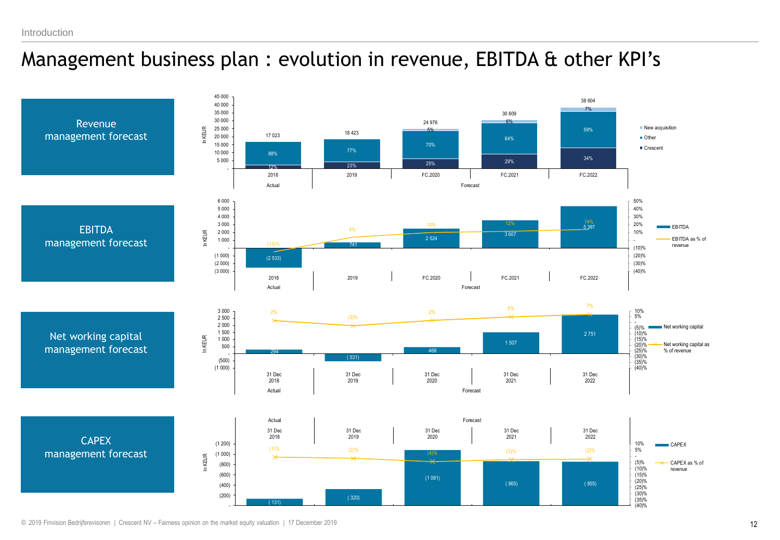### Management business plan : evolution in revenue, EBITDA & other KPI's

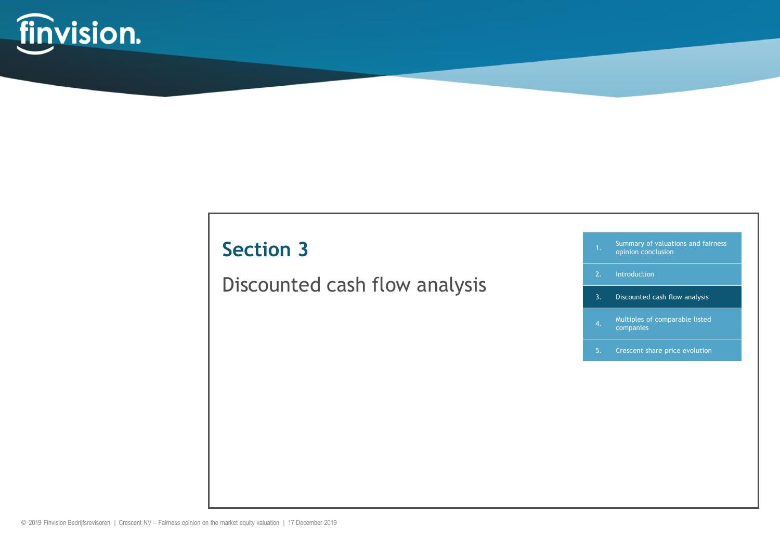

### Discounted cash flow analysis

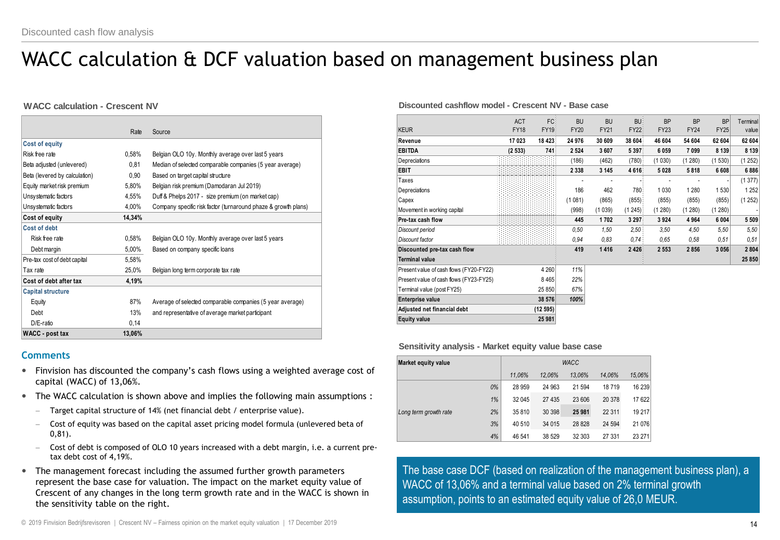# WACC calculation & DCF valuation based on management business plan

#### **WACC calculation - Crescent NV**

|                               | Rate   | Source                                                         |
|-------------------------------|--------|----------------------------------------------------------------|
| <b>Cost of equity</b>         |        |                                                                |
| Risk free rate                | 0.58%  | Belgian OLO 10y. Monthly average over last 5 years             |
| Beta adjusted (unlevered)     | 0,81   | Median of selected comparable companies (5 year average)       |
| Beta (levered by calculation) | 0,90   | Based on target capital structure                              |
| Equity market risk premium    | 5,80%  | Belgian risk premium (Damodaran Jul 2019)                      |
| Unsystematic factors          | 4,55%  | Duff & Phelps 2017 - size premium (on market cap)              |
| Unsystematic factors          | 4,00%  | Company specific risk factor (turnaround phaze & growth plans) |
| Cost of equity                | 14,34% |                                                                |
| Cost of debt                  |        |                                                                |
| Risk free rate                | 0,58%  | Belgian OLO 10y. Monthly average over last 5 years             |
| Debt margin                   | 5,00%  | Based on company specific loans                                |
| Pre-tax cost of debt capital  | 5,58%  |                                                                |
| Tax rate                      | 25,0%  | Belgian long term corporate tax rate                           |
| Cost of debt after tax        | 4,19%  |                                                                |
| <b>Capital structure</b>      |        |                                                                |
| Equity                        | 87%    | Average of selected comparable companies (5 year average)      |
| Debt                          | 13%    | and representative of average market participant               |
| $D/E$ -ratio                  | 0,14   |                                                                |
| <b>WACC</b> - post tax        | 13,06% |                                                                |

#### **Comments**

- Finvision has discounted the company's cash flows using a weighted average cost of capital (WACC) of 13,06%.
- The WACC calculation is shown above and implies the following main assumptions :
	- $-$  Target capital structure of 14% (net financial debt / enterprise value).
	- Cost of equity was based on the capital asset pricing model formula (unlevered beta of 0,81).
	- Cost of debt is composed of OLO 10 years increased with a debt margin, i.e. a current pretax debt cost of 4,19%.
- The management forecast including the assumed further growth parameters represent the base case for valuation. The impact on the market equity value of Crescent of any changes in the long term growth rate and in the WACC is shown in the sensitivity table on the right.

#### **Discounted cashflow model - Crescent NV - Base case**

| Discounted cashflow model - Crescent NV - Base case |             |             |             |             |         |             |             |             |                |
|-----------------------------------------------------|-------------|-------------|-------------|-------------|---------|-------------|-------------|-------------|----------------|
|                                                     | <b>ACT</b>  | FC          | <b>BU</b>   | <b>BU</b>   | BU:     | <b>BP</b>   | <b>BP</b>   | <b>BP</b>   | Terminal       |
| KEUR                                                | <b>FY18</b> | <b>FY19</b> | <b>FY20</b> | <b>FY21</b> | FY22    | <b>FY23</b> | <b>FY24</b> | <b>FY25</b> | value          |
| Revenue                                             | 17023       | 18 423      | 24 976      | 30 609      | 38 604  | 46 604      | 54 604      | 62 604      | 62 604         |
| <b>EBITDA</b>                                       | (2533)      | 741         | 2 5 2 4     | 3607        | 5 3 9 7 | 6059        | 7 0 9 9     | 8 1 3 9     | 8 1 3 9        |
| Depreciations                                       |             |             | (186)       | (462)       | (780)   | (1030)      | (1280)      | (1530)      | (1252)         |
| <b>EBIT</b>                                         |             |             | 2 3 3 8     | 3 1 4 5     | 4616    | 5028        | 5818        | 6 6 0 8     | 6886           |
| Taxes                                               |             |             |             |             |         |             |             |             | (1377)         |
| Depreciations                                       |             |             | 186         | 462         | 780     | 1030        | 1 2 8 0     | 1530        | 1 2 5 2        |
| Capex                                               |             |             | (1081)      | (865)       | (855)   | (855)       | (855)       | (855)       | (1252)         |
| Movement in working capital                         |             |             | (998)       | (1039)      | (1245)  | (1280)      | (1280)      | (1280)      | $\overline{a}$ |
| Pre-tax cash flow                                   |             |             | 445         | 1702        | 3 2 9 7 | 3924        | 4 9 64      | 6 0 0 4     | 5 5 0 9        |
| Discount period                                     |             |             | 0.50        | 1,50        | 2,50    | 3,50        | 4.50        | 5,50        | 5,50           |
| Discount factor                                     |             |             | 0.94        | 0.83        | 0.74    | 0.65        | 0.58        | 0.51        | 0.51           |
| Discounted pre-tax cash flow                        |             |             | 419         | 1416        | 2 4 2 6 | 2 5 5 3     | 2856        | 3056        | 2804           |
| <b>Terminal value</b>                               |             |             |             |             |         |             |             |             | 25 850         |
| Present value of cash flows (FY20-FY22)             |             | 4 260       | 11%         |             |         |             |             |             |                |
| Present value of cash flows (FY23-FY25)             |             | 8 4 6 5     | 22%         |             |         |             |             |             |                |
| Terminal value (post FY25)                          |             | 25 850      | 67%         |             |         |             |             |             |                |
| Enterprise value                                    |             | 38 576      | 100%        |             |         |             |             |             |                |
| Adjusted net financial debt                         |             | (12595)     |             |             |         |             |             |             |                |
| <b>Equity value</b>                                 |             | 25 981      |             |             |         |             |             |             |                |

**Sensitivity analysis - Market equity value base case**

| <b>Market equity value</b> |    | <b>WACC</b> |        |         |         |         |  |  |  |  |
|----------------------------|----|-------------|--------|---------|---------|---------|--|--|--|--|
|                            |    | 11.06%      | 12.06% | 13.06%  | 14.06%  | 15,06%  |  |  |  |  |
|                            | 0% | 28 959      | 24 963 | 21 594  | 18719   | 16 239  |  |  |  |  |
| Long term growth rate      | 1% | 32 045      | 27 435 | 23 606  | 20 378  | 17 622  |  |  |  |  |
|                            | 2% | 35 810      | 30 398 | 25 981  | 22 3 11 | 19 217  |  |  |  |  |
|                            | 3% | 40 510      | 34 015 | 28 8 28 | 24 5 94 | 21 0 76 |  |  |  |  |
|                            | 4% | 46 541      | 38 529 | 32 303  | 27 331  | 23 271  |  |  |  |  |

The base case DCF (based on realization of the management business plan), a WACC of 13,06% and a terminal value based on 2% terminal growth assumption, points to an estimated equity value of 26,0 MEUR.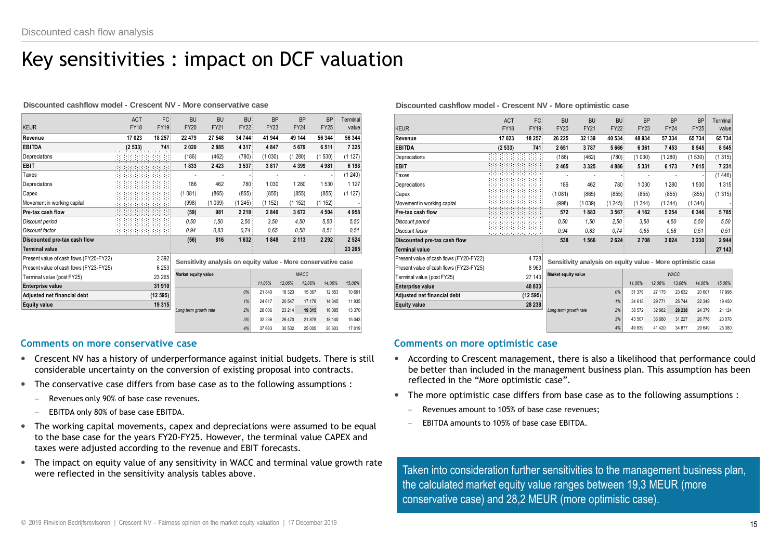### Key sensitivities : impact on DCF valuation

#### **Discounted cashflow model - Crescent NV - More conservative case**

| Discounted cashflow model - Crescent NV - More conservative case |             |             |                       |                                                               |         |             |             |             |                   |
|------------------------------------------------------------------|-------------|-------------|-----------------------|---------------------------------------------------------------|---------|-------------|-------------|-------------|-------------------|
|                                                                  | <b>ACT</b>  | FC          | <b>BU</b>             | <b>BU</b>                                                     | BU:     | <b>BP</b>   | <b>BP</b>   | <b>BP</b>   | Terminal          |
| <b>KEUR</b>                                                      | <b>FY18</b> | <b>FY19</b> | <b>FY20</b>           | <b>FY21</b>                                                   | FY22    | <b>FY23</b> | <b>FY24</b> | <b>FY25</b> | value             |
| Revenue                                                          | 17023       | 18 257      | 22 479                | 27 548                                                        | 34 744  | 41 944      | 49 144      | 56 344      | 56 344            |
| <b>EBITDA</b>                                                    | (2533)      | 741         | 2020                  | 2885                                                          | 4 3 1 7 | 4847        | 5679        | 6511        | 7 3 2 5           |
| Depreciations                                                    |             |             | (186)                 | (462)                                                         | (780)   | (1030)      | (1280)      | (1530)      | (1 127)           |
| <b>EBIT</b>                                                      |             |             | 1833                  | 2423                                                          | 3 5 3 7 | 3817        | 4 3 9 9     | 4981        | 6 198             |
| Taxes                                                            |             |             |                       |                                                               |         |             |             |             | (1240)            |
| Depreciations                                                    |             |             | 186                   | 462                                                           | 780     | 1 0 3 0     | 1 2 8 0     | 1530        | 1 1 2 7           |
| Capex                                                            |             |             | (1081)                | (865)                                                         | (855)   | (855)       | (855)       | (855)       | (1 127)           |
| Movement in working capital                                      |             |             | (998)                 | (1039)                                                        | (1245)  | (1152)      | (1152)      | (1152)      |                   |
| Pre-tax cash flow                                                |             |             | (59)                  | 981                                                           | 2 2 1 8 | 2840        | 3672        | 4 5 0 4     | 4958              |
| Discount period                                                  |             |             | 0.50                  | 1.50                                                          | 2.50    | 3.50        | 4.50        | 5.50        | 5.50              |
| Discount factor                                                  |             |             | 0.94                  | 0.83                                                          | 0.74    | 0.65        | 0.58        | 0.51        | 0.51              |
| Discounted pre-tax cash flow                                     |             |             | (56)                  | 816                                                           | 1632    | 1848        | 2 1 1 3     | 2 2 9 2     | 2 5 24            |
| <b>Terminal value</b>                                            |             |             |                       |                                                               |         |             |             |             | 23 265            |
| Present value of cash flows (FY20-FY22)                          |             | 2 3 9 2     |                       | Sensitivity analysis on equity value - More conservative case |         |             |             |             |                   |
| Present value of cash flows (FY23-FY25)                          |             | 6 2 5 3     |                       |                                                               |         |             |             |             |                   |
| Terminal value (post FY25)                                       |             | 23 265      | Market equity value   |                                                               |         |             | <b>WACC</b> |             |                   |
| <b>Enterprise value</b>                                          |             | 31 910      |                       |                                                               |         | 11.06%      | 12.06%      | 13,06%      | 14.06%<br>15,06%  |
| Adjusted net financial debt                                      |             | (12595)     |                       |                                                               | 0%      | 21 840      | 18 3 23     | 15 367      | 12 8 53<br>10 691 |
| Equity value                                                     |             | 19 315      |                       |                                                               | 1%      | 24 617      | 20 547      | 17 17 8     | 14 3 45<br>11 935 |
|                                                                  |             |             | Long term growth rate |                                                               | 2%      | 28 006      | 23 214      | 19 315      | 16 08 5<br>13 370 |
|                                                                  |             |             |                       |                                                               | 3%      | 32 236      | 26 470      | 21878       | 18 140<br>15 04 3 |
|                                                                  |             |             |                       |                                                               | 4%      | 37 663      | 30 532      | 25 005      | 20 603<br>17 019  |

#### **Comments on more conservative case**

- Crescent NV has a history of underperformance against initial budgets. There is still considerable uncertainty on the conversion of existing proposal into contracts.
- The conservative case differs from base case as to the following assumptions :
	- Revenues only 90% of base case revenues.
	- EBITDA only 80% of base case EBITDA.
- The working capital movements, capex and depreciations were assumed to be equal to the base case for the years FY20-FY25. However, the terminal value CAPEX and taxes were adjusted according to the revenue and EBIT forecasts.
- The impact on equity value of any sensitivity in WACC and terminal value growth rate were reflected in the sensitivity analysis tables above.

#### **Discounted cashflow model - Crescent NV - More optimistic case**

| Discounted cashflow model - Crescent NV - More optimistic case |             |             |                       |                                                             |          |                  |                    |                  |                    |                |
|----------------------------------------------------------------|-------------|-------------|-----------------------|-------------------------------------------------------------|----------|------------------|--------------------|------------------|--------------------|----------------|
|                                                                | <b>ACT</b>  | FC          | <b>BU</b>             | <b>BU</b>                                                   | BU:      | <b>BP</b>        |                    | <b>BP</b>        | <b>BP</b>          | Terminal       |
| <b>KEUR</b>                                                    | <b>FY18</b> | <b>FY19</b> | <b>FY20</b>           | <b>FY21</b>                                                 | FY22     | <b>FY23</b>      |                    | <b>FY24</b>      | <b>FY25</b>        | value          |
| Revenue                                                        | 17 023      | 18 257      | 26 225                | 32 139                                                      | 40 534   | 48 934           |                    | 57 334           | 65 734             | 65734          |
| <b>EBITDA</b>                                                  | (2533)      | 741         | 2651                  | 3787                                                        | 5666     | 6 3 6 1          |                    | 7453             | 8 5 4 5            | 8 5 4 5        |
| Depreciations                                                  |             |             | (186)                 | (462)                                                       | (780)    | (1030)           | (1280)             |                  | (1530)             | (1315)         |
| <b>EBIT</b>                                                    |             |             | 2 4 6 5               | 3 3 2 5                                                     | 4886     | 5 3 3 1          |                    | 6 173            | 7015               | 7 231          |
| Taxes                                                          |             |             |                       |                                                             |          |                  |                    |                  |                    | (1446)         |
| Depreciations                                                  |             |             | 186                   | 462                                                         | 780      | 1 0 3 0          |                    | 1 2 8 0          | 1530               | 1315           |
| Capex                                                          |             |             | (1081)                | (865)                                                       | (855)    | (855)            |                    | (855)            | (855)              | (1315)         |
| Movement in working capital                                    |             |             | (998)                 | (1039)                                                      | (1245)   | (1344)           | (1344)             |                  | (1344)             |                |
| Pre-tax cash flow                                              |             |             | 572                   | 1883                                                        | 3 5 6 7  | 4 1 6 2          |                    | 5 2 5 4          | 6 3 4 6            | 5785           |
| Discount period                                                |             |             | 0.50                  | 1.50                                                        | 2.50     | 3.50             |                    | 4.50             | 5.50               | 5.50           |
| Discount factor                                                |             |             | 0.94                  | 0.83                                                        | 0.74:    | 0.65             |                    | 0.58             | 0.51               | 0.51           |
| Discounted pre-tax cash flow                                   |             |             | 538                   | 1 5 6 6                                                     | 2624     | 2708             |                    | 3 0 24           | 3 2 3 0            | 2944           |
| <b>Terminal value</b>                                          |             |             |                       |                                                             |          |                  |                    |                  |                    | 27 143         |
| Present value of cash flows (FY20-FY22)                        |             | 4728        |                       | Sensitivity analysis on equity value - More optimistic case |          |                  |                    |                  |                    |                |
| Present value of cash flows (FY23-FY25)                        |             | 8963        |                       |                                                             |          |                  |                    |                  |                    |                |
| Terminal value (post FY25)                                     |             | 27 143      | Market equity value   |                                                             |          |                  |                    | <b>WACC</b>      |                    |                |
| <b>Enterprise value</b>                                        |             | 40 833      |                       |                                                             | 0%       | 11.06%<br>31 378 | 12.06%             | 13.06%<br>23 632 | 14.06%             | 15.06%         |
| Adjusted net financial debt                                    |             | (12595)     |                       |                                                             |          | 34 618           | 27 175<br>29 7 7 1 | 25 744           | 20 607<br>22 3 4 9 | 17998<br>19450 |
| <b>Equity value</b>                                            |             | 28 238      | Long term growth rate |                                                             | 1%<br>2% | 38 572           | 32 882             | 28 238           | 24 3 79            | 21 1 24        |
|                                                                |             |             |                       |                                                             | 3%       | 43 507           | 36 680             | 31 227           | 26776              | 23 0 76        |
|                                                                |             |             |                       |                                                             | 4%       | 49 839           | 41 4 20            | 34 877           | 29649              | 25 380         |
|                                                                |             |             |                       |                                                             |          |                  |                    |                  |                    |                |

#### **Comments on more optimistic case**

- According to Crescent management, there is also a likelihood that performance could be better than included in the management business plan. This assumption has been reflected in the "More optimistic case".
- The more optimistic case differs from base case as to the following assumptions :
	- Revenues amount to 105% of base case revenues;
	- EBITDA amounts to 105% of base case EBITDA.

Taken into consideration further sensitivities to the management business plan, the calculated market equity value ranges between 19,3 MEUR (more conservative case) and 28,2 MEUR (more optimistic case).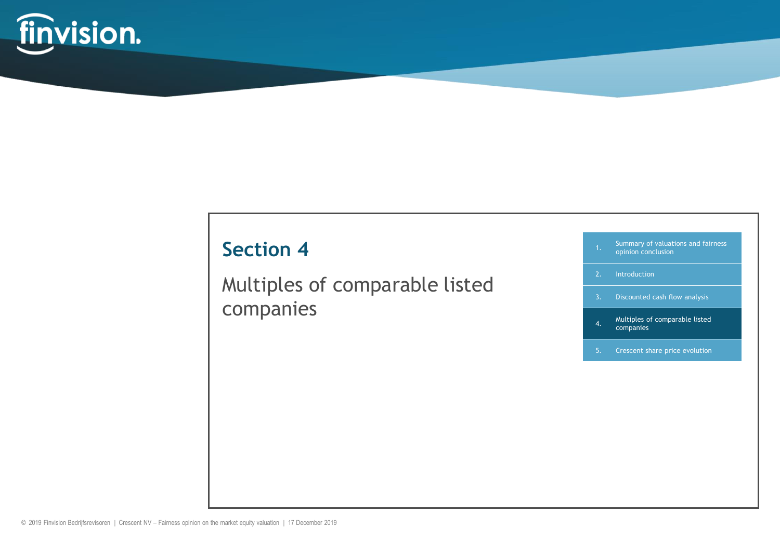

Multiples of comparable listed companies

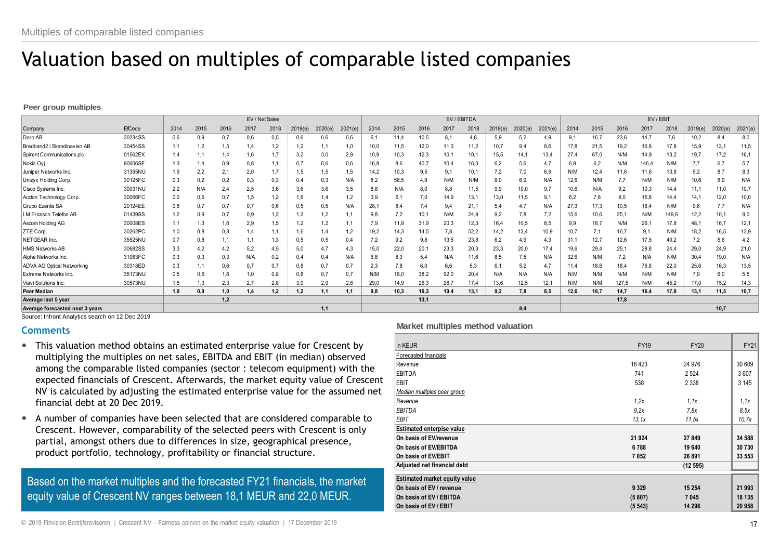# Valuation based on multiples of comparable listed companies

**Peer group multiples**

|                                   |         |      |          |      | EV / Net Sales |      |         |         |         | EV / EBITDA |      |      |      |      | EV / EBIT |         |         |      |      |       |       |       |         |        |         |
|-----------------------------------|---------|------|----------|------|----------------|------|---------|---------|---------|-------------|------|------|------|------|-----------|---------|---------|------|------|-------|-------|-------|---------|--------|---------|
| Company                           | EfCode  | 2014 | 2015     | 2016 | 2017           | 2018 | 2019(e) | 2020(e) | 2021(e) | 2014        | 2015 | 2016 | 2017 | 2018 | 2019(e)   | 2020(e) | 2021(e) | 2014 | 2015 | 2016  | 2017  | 2018  | 2019(e) | 2020(e | 2021(e) |
| Doro AB                           | 30234SS | 0.6  | 0.9      | 0,7  | 0,6            | 0,5  | 0,6     | 0,6     | 0,6     | 6.          | 11,4 | 10,5 | 8,1  | 4.8  | 5,9       | 5.2     | 4.9     | 9.1  | 16,7 | 23,6  | 14,7  | 7,6   | 10,2    | 8.4    | 8,0     |
| Bredband2 i Skandinavien AB       | 30454SS |      | 1.2      | 1,5  | 1,4            | 1,2  | 1,2     |         | 1,0     | 10,0        | 11,5 | 12,0 | 11,3 | 11,2 | 10,7      | 9,4     | 8,6     | 17,8 | 21,5 | 19,2  | 16,8  | 17,8  | 15,9    | 13,1   | 11,5    |
| Spirent Communications plc        | 01562EX | 1.4  |          | 1.4  |                |      | 3,2     | 3,0     | 2,9     | 10,9        | 10,3 | 12,3 | 10,1 | 10,1 | 15,5      | 14.1    | 13,4    | 27,4 | 67,0 | N/M   | 14,9  | 13,2  | 19,7    | 17,2   | 16,1    |
| Nokia Oyj                         | 90006SF |      | 1.4      | 0.9  | 0,8            |      | 0,7     | 0,6     | 0,6     | 16,8        | 8,6  | 40,7 | 10,4 | 16,3 | 6,2       | 5,6     | 4,7     | 6,9  | 6,2  | N/M   | 146,4 | N/M   | 7,7     | 6,7    | 5,7     |
| Juniper Networks Inc.             | 31395NU | 1.9  | 2,2      | 2,1  | 2,0            |      | 1,5     | 1,5     | 1,5     | 14,2        | 10,3 | 9,5  | 9,1  | 10,1 | 7,2       | 7,0     | 6,9     | N/M  | 12,4 | 11,6  | 11,6  | 13,8  | 9,2     | 8,7    | 8,3     |
| Unizyx Holding Corp.              | 30125FC | 0,3  | 0.2      | 0,2  | 0,3            | 0,3  | 0,4     | 0,3     | N/A     | 8,2         | 58,5 | 4,9  | N/M  | N/M  | 8,0       | 6,9     | N/A     | 12,6 | N/M  | 7,7   | N/M   | N/M   | 10,6    | 8,9    | N/A     |
| Cisco Systems Inc.                | 30031NU | 2.2  | N/A      | 2,4  | 2,5            | 3,6  | 3,6     | 3,6     | 3,5     | 8,8         | N/A  | 8,0  | 8,8  | 11,5 | 9,9       | 10,0    | 9,7     | 10,6 | N/A  | 9,2   | 10,3  | 14,4  | 11.1    | 11,0   | 10,7    |
| Accton Technology Corp.           | 30066FC | 0,2  | 0,5      | 0,7  | 1,5            |      | 1,6     | 1,4     | 1,2     | 3,9         | 6,1  | 7,0  | 14,9 | 13,1 | 13,0      | 11,5    | 9,1     | 6,2  | 7,8  | 0,8   | 15,6  | 14,4  | 14.1    | 12,0   | 10,0    |
| Grupo Ezentis SA                  | 20124EE | 0.8  | 0,7      | 0,7  | 0,7            | 0,6  | 0,5     | 0,5     | N/A     | 28.         | 8,4  | 7.4  | 9,4  | 21.7 | 5,4       | 4.7     | N/A     | 27,3 | 17,3 | 10,5  | 16,4  | N/M   | 9,6     | 7,7    | N/A     |
| M Ericsson Telefon AB             | 01439SS |      | $_{0,9}$ | 0,7  | 0,9            | 1,2  | 1,2     | 1,2     |         | 9,8         | 7,2  | 10,1 | N/M  | 24,9 | 9,2       | 7,8     | 7,2     | 15,6 | 10,6 | 25,1  | N/M   | 149,6 | 12,2    | 10,1   | 9,0     |
| Ascom Holding AG                  | 30008ES |      | 1,3      | 1,6  | 2,9            | 1,5  | 1,2     | 1,2     |         | 7,9         | 11,9 | 31,9 | 20,3 | 12,3 | 16,4      | 10,5    | 8,5     | 9,9  | 18,7 | N/M   | 26.   | 17,8  | 48,1    | 16,7   | 12,1    |
| ZTE Corp.                         | 30262PC | 1.0  | 0,8      | 0,8  | 1.4            |      | 1,6     | 1.4     | 1,2     | 19,2        | 14,3 | 14,5 | 7,8  | 52,2 | 14,2      | 13,4    | 10,9    | 10,7 | 7,1  | 16,7  | 9,1   | N/M   | 18,2    | 16,5   | 13,9    |
| NETGEAR Inc.                      | 35525NU | 0.7  | 0,8      |      |                | 1,3  | 0,5     | 0,5     | 0,4     | 7,2         | 9,2  | 9,8  | 13,5 | 23,8 | 6,2       | 4,9     | 4,3     | 31.7 | 12,7 | 12,6  | 17,5  | 40,2  |         | 5,6    | 4,2     |
| HMS Networks AB                   | 30682SS | 3.3  | 4,2      | 4,2  | 5,2            | 4,5  | 5,0     | 4.7     | 4,3     | 15.0        | 22,0 | 20,1 | 23,3 | 20,3 | 23,3      | 20,0    | 17.4    | 19,6 | 29,4 | 25,1  | 28,8  | 24,4  | 29,0    | 24,9   | 21,0    |
| Alpha Networks Inc.               | 31083FC | 0,3  | 0,3      | 0,3  | N/A            | 0,2  | 0,4     | 0,4     | N/A     | 6,8         | 8,3  | 5,4  | N/A  | 11,6 | 8,5       | 7,5     | N/A     | 32,6 | N/M  | 7,2   | N/A   | N/M   | 30,4    | 19,0   | N/A     |
| <b>ADVA AG Optical Networking</b> | 30318ED | 0.3  | 1,1      | 0.6  | 0,7            | 0,7  | 0,8     | 0,7     | 0,7     | 2,3         | 7,8  | 6,0  | 6,6  | 5,3  | 6,1       | 5,2     | 4,7     | 11,4 | 18,6 | 18,4  | 76,8  | 22,0  | 25,6    | 16,3   | 13,5    |
| Extreme Networks Inc.             | 35173NU | 0.5  | 0.6      | 1.6  | 1,0            | 0,8  | 0,8     | 0,7     | 0,7     | N/M         | 18,0 | 38,2 | 92,0 | 20,4 | N/A       | N/A     | N/A     | N/M  | N/M  | N/M   | N/M   | N/M   | 7,9     | 6,0    | 5,5     |
| Viavi Solutions Inc.              | 30573NU | 1.5  | 1,3      | 2,3  | 2,7            | 2.8  | 3,0     | 2,9     | 2,8     | 29,0        | 14,9 | 26,3 | 26,7 | 17,4 | 13,6      | 12,5    | 12,1    | N/M  | N/M  | 127.5 | N/M   | 45,2  | 17,0    | 15,2   | 14,3    |
| Peer Median                       |         | 1.0  | 0.9      | 1,0  | 1.4            | 1.2  | 1.2     | 1.1     | 1.1     | 9.8         | 10,3 | 10,3 | 10.4 | 13,1 | 9.2       | 7.8     | 8.5     | 12,6 | 16.7 | 14,7  | 16.4  | 17,8  | 13,1    | 11.5   | 10,7    |
| Average last 5 year               |         |      |          | 1,2  |                |      |         |         |         |             |      | 13,1 |      |      |           |         |         |      |      | 17.8  |       |       |         |        |         |
| Average forecasted next 3 years   |         |      |          |      |                |      |         | 1.1     |         |             |      |      |      |      |           | 8.4     |         |      |      |       |       |       |         | 10.7   |         |

Source: Infront Analytics search on 12 Dec 2019

#### **Comments**

- This valuation method obtains an estimated enterprise value for Crescent by multiplying the multiples on net sales, EBITDA and EBIT (in median) observed among the comparable listed companies (sector : telecom equipment) with the expected financials of Crescent. Afterwards, the market equity value of Crescent NV is calculated by adjusting the estimated enterprise value for the assumed net financial debt at 20 Dec 2019.
- A number of companies have been selected that are considered comparable to Crescent. However, comparability of the selected peers with Crescent is only partial, amongst others due to differences in size, geographical presence, product portfolio, technology, profitability or financial structure.

Based on the market multiples and the forecasted FY21 financials, the market equity value of Crescent NV ranges between 18,1 MEUR and 22,0 MEUR.

#### **Market multiples method valuation**

| In KEUR                              | <b>FY19</b> | <b>FY20</b> | <b>FY21</b> |
|--------------------------------------|-------------|-------------|-------------|
| Forecasted financials                |             |             |             |
| Revenue                              | 18 4 23     | 24 976      | 30 609      |
| EBITDA                               | 741         | 2 5 24      | 3607        |
| <b>EBIT</b>                          | 538         | 2 3 3 8     | 3 1 4 5     |
| Median multiples peer group          |             |             |             |
| Revenue                              | 1,2x        | 1.1x        | 1.1x        |
| EBITDA                               | 9.2x        | 7.8x        | 8,5x        |
| EBIT                                 | 13.1x       | 11.5x       | 10.7x       |
| <b>Estimated enterpise value</b>     |             |             |             |
| On basis of EV/revenue               | 21 9 24     | 27 849      | 34 588      |
| On basis of EV/EBITDA                | 6788        | 19 640      | 30 730      |
| On basis of EV/EBIT                  | 7052        | 26 891      | 33 553      |
| Adjusted net financial debt          |             | (12595)     |             |
| <b>Estimated market equity value</b> |             |             |             |
| On basis of EV / revenue             | 9 3 2 9     | 15 254      | 21 993      |
| On basis of EV / EBITDA              | (5807)      | 7 0 4 5     | 18 135      |
| On basis of EV / EBIT                | (5543)      | 14 296      | 20 958      |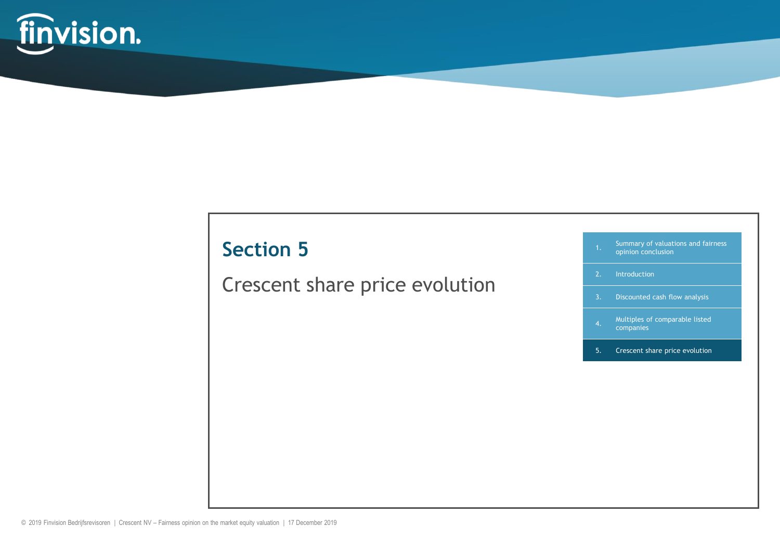

Crescent share price evolution

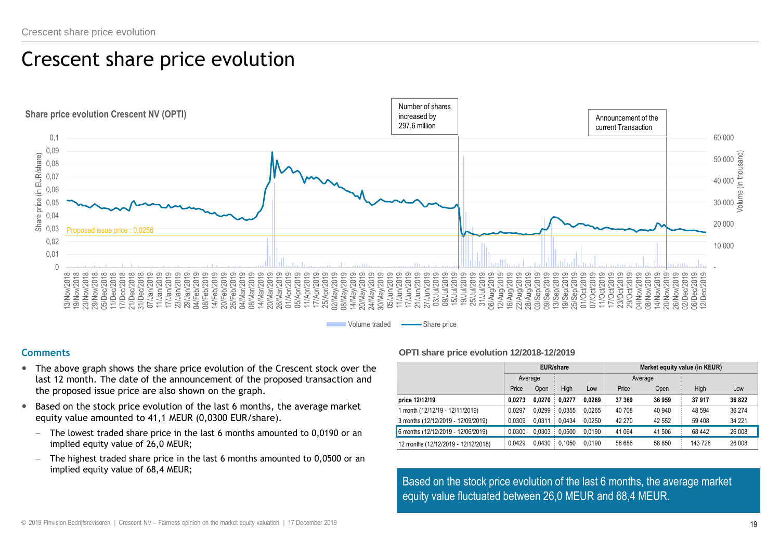### Crescent share price evolution



#### **Comments**

- The above graph shows the share price evolution of the Crescent stock over the last 12 month. The date of the announcement of the proposed transaction and the proposed issue price are also shown on the graph.
- Based on the stock price evolution of the last 6 months, the average market equity value amounted to 41,1 MEUR (0,0300 EUR/share).
	- The lowest traded share price in the last 6 months amounted to 0,0190 or an implied equity value of 26,0 MEUR;
	- The highest traded share price in the last 6 months amounted to 0,0500 or an implied equity value of 68,4 MEUR;

#### **OPTI share price evolution 12/2018-12/2019**

|                                     |         | <b>EUR/share</b> |        |        | Market equity value (in KEUR) |        |         |        |  |  |  |
|-------------------------------------|---------|------------------|--------|--------|-------------------------------|--------|---------|--------|--|--|--|
|                                     | Average |                  |        |        | Average                       |        |         |        |  |  |  |
|                                     | Price   | Open             | High   | Low    | Price                         | Open   | High    | Low    |  |  |  |
| price 12/12/19                      | 0.0273  | 0.0270           | 0.0277 | 0.0269 | 37 369                        | 36 959 | 37917   | 36822  |  |  |  |
| 1 month (12/12/19 - 12/11/2019)     | 0.0297  | 0.0299           | 0.0355 | 0.0265 | 40 708                        | 40 940 | 48 5 94 | 36 274 |  |  |  |
| 3 months (12/12/2019 - 12/09/2019)  | 0.0309  | 0.0311           | 0.0434 | 0.0250 | 42 270                        | 42 552 | 59 408  | 34 221 |  |  |  |
| 6 months (12/12/2019 - 12/06/2019)  | 0.0300  | 0.0303           | 0.0500 | 0.0190 | 41 0 64                       | 41 506 | 68 4 42 | 26 008 |  |  |  |
| 12 months (12/12/2019 - 12/12/2018) | 0.0429  | 0.0430           | 0.1050 | 0.0190 | 58 686                        | 58 850 | 143 728 | 26 008 |  |  |  |

Based on the stock price evolution of the last 6 months, the average market equity value fluctuated between 26,0 MEUR and 68,4 MEUR.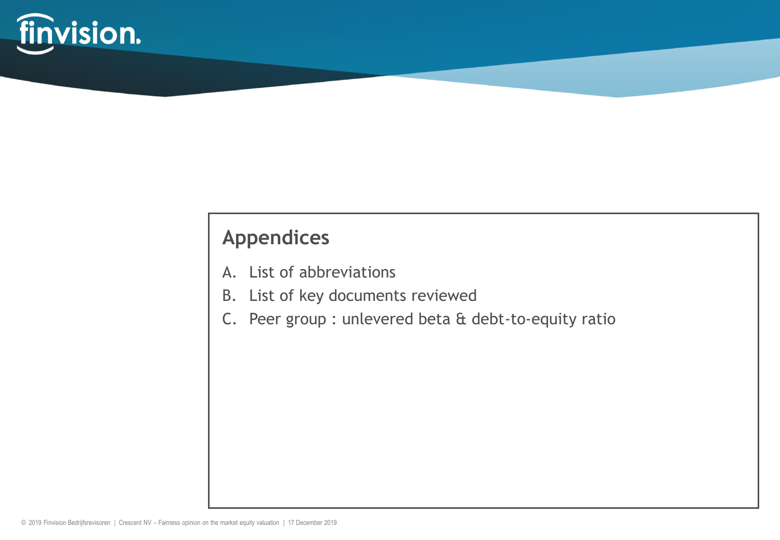

### **Appendices**

- A. List of abbreviations
- B. List of key documents reviewed
- C. Peer group : unlevered beta & debt-to-equity ratio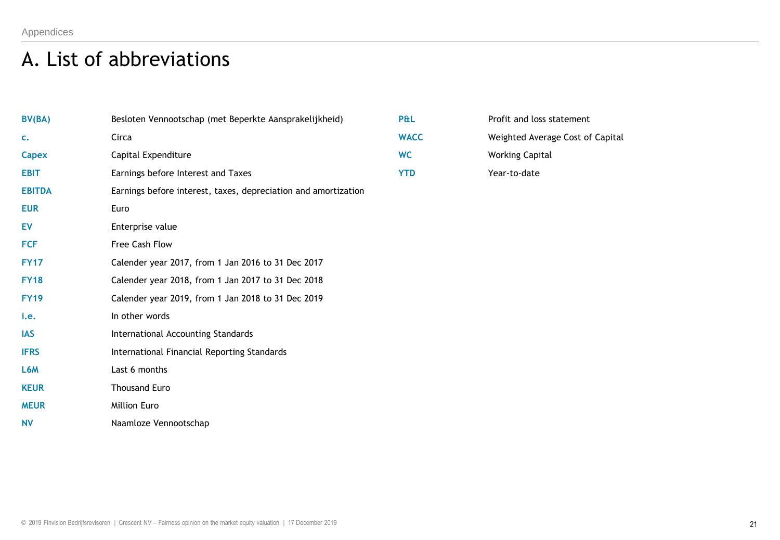### A. List of abbreviations

| BV(BA)        | Besloten Vennootschap (met Beperkte Aansprakelijkheid)         | P&L         | Profit and loss statement        |
|---------------|----------------------------------------------------------------|-------------|----------------------------------|
| c.            | Circa                                                          | <b>WACC</b> | Weighted Average Cost of Capital |
| <b>Capex</b>  | Capital Expenditure                                            | <b>WC</b>   | <b>Working Capital</b>           |
| <b>EBIT</b>   | Earnings before Interest and Taxes                             | <b>YTD</b>  | Year-to-date                     |
| <b>EBITDA</b> | Earnings before interest, taxes, depreciation and amortization |             |                                  |
| <b>EUR</b>    | Euro                                                           |             |                                  |
| <b>EV</b>     | Enterprise value                                               |             |                                  |
| <b>FCF</b>    | Free Cash Flow                                                 |             |                                  |
| <b>FY17</b>   | Calender year 2017, from 1 Jan 2016 to 31 Dec 2017             |             |                                  |
| <b>FY18</b>   | Calender year 2018, from 1 Jan 2017 to 31 Dec 2018             |             |                                  |
| <b>FY19</b>   | Calender year 2019, from 1 Jan 2018 to 31 Dec 2019             |             |                                  |
| i.e.          | In other words                                                 |             |                                  |
| <b>IAS</b>    | International Accounting Standards                             |             |                                  |
| <b>IFRS</b>   | International Financial Reporting Standards                    |             |                                  |
| L6M           | Last 6 months                                                  |             |                                  |
| <b>KEUR</b>   | <b>Thousand Euro</b>                                           |             |                                  |
| <b>MEUR</b>   | Million Euro                                                   |             |                                  |
| <b>NV</b>     | Naamloze Vennootschap                                          |             |                                  |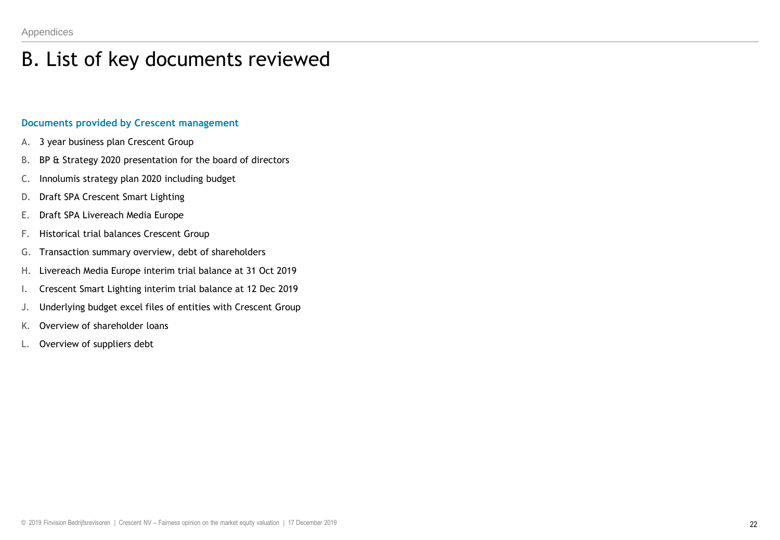### B. List of key documents reviewed

#### **Documents provided by Crescent management**

- A. 3 year business plan Crescent Group
- B. BP & Strategy 2020 presentation for the board of directors
- C. Innolumis strategy plan 2020 including budget
- D. Draft SPA Crescent Smart Lighting
- E. Draft SPA Livereach Media Europe
- F. Historical trial balances Crescent Group
- G. Transaction summary overview, debt of shareholders
- H. Livereach Media Europe interim trial balance at 31 Oct 2019
- I. Crescent Smart Lighting interim trial balance at 12 Dec 2019
- J. Underlying budget excel files of entities with Crescent Group
- K. Overview of shareholder loans
- L. Overview of suppliers debt